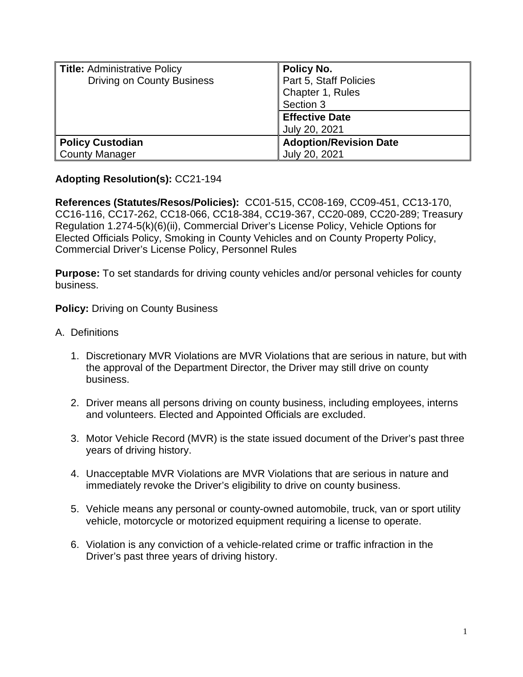| <b>Title: Administrative Policy</b> | <b>Policy No.</b>             |
|-------------------------------------|-------------------------------|
| <b>Driving on County Business</b>   | Part 5, Staff Policies        |
|                                     | Chapter 1, Rules              |
|                                     | Section 3                     |
|                                     | <b>Effective Date</b>         |
|                                     | July 20, 2021                 |
| <b>Policy Custodian</b>             | <b>Adoption/Revision Date</b> |
| <b>County Manager</b>               | July 20, 2021                 |

## **Adopting Resolution(s):** CC21-194

**References (Statutes/Resos/Policies):** CC01-515, CC08-169, CC09-451, CC13-170, CC16-116, CC17-262, CC18-066, CC18-384, CC19-367, CC20-089, CC20-289; Treasury Regulation 1.274-5(k)(6)(ii), Commercial Driver's License Policy, Vehicle Options for Elected Officials Policy, Smoking in County Vehicles and on County Property Policy, Commercial Driver's License Policy, Personnel Rules

**Purpose:** To set standards for driving county vehicles and/or personal vehicles for county business.

## **Policy: Driving on County Business**

- A. Definitions
	- 1. Discretionary MVR Violations are MVR Violations that are serious in nature, but with the approval of the Department Director, the Driver may still drive on county business.
	- 2. Driver means all persons driving on county business, including employees, interns and volunteers. Elected and Appointed Officials are excluded.
	- 3. Motor Vehicle Record (MVR) is the state issued document of the Driver's past three years of driving history.
	- 4. Unacceptable MVR Violations are MVR Violations that are serious in nature and immediately revoke the Driver's eligibility to drive on county business.
	- 5. Vehicle means any personal or county-owned automobile, truck, van or sport utility vehicle, motorcycle or motorized equipment requiring a license to operate.
	- 6. Violation is any conviction of a vehicle-related crime or traffic infraction in the Driver's past three years of driving history.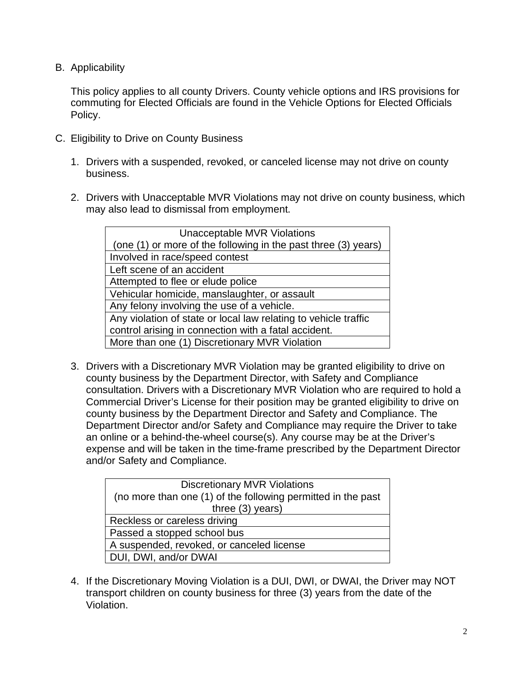B. Applicability

This policy applies to all county Drivers. County vehicle options and IRS provisions for commuting for Elected Officials are found in the Vehicle Options for Elected Officials Policy.

- C. Eligibility to Drive on County Business
	- 1. Drivers with a suspended, revoked, or canceled license may not drive on county business.
	- 2. Drivers with Unacceptable MVR Violations may not drive on county business, which may also lead to dismissal from employment.

| <b>Unacceptable MVR Violations</b>                              |  |
|-----------------------------------------------------------------|--|
| (one (1) or more of the following in the past three (3) years)  |  |
| Involved in race/speed contest                                  |  |
| Left scene of an accident                                       |  |
| Attempted to flee or elude police                               |  |
| Vehicular homicide, manslaughter, or assault                    |  |
| Any felony involving the use of a vehicle.                      |  |
| Any violation of state or local law relating to vehicle traffic |  |
| control arising in connection with a fatal accident.            |  |
| More than one (1) Discretionary MVR Violation                   |  |

3. Drivers with a Discretionary MVR Violation may be granted eligibility to drive on county business by the Department Director, with Safety and Compliance consultation. Drivers with a Discretionary MVR Violation who are required to hold a Commercial Driver's License for their position may be granted eligibility to drive on county business by the Department Director and Safety and Compliance. The Department Director and/or Safety and Compliance may require the Driver to take an online or a behind-the-wheel course(s). Any course may be at the Driver's expense and will be taken in the time-frame prescribed by the Department Director and/or Safety and Compliance.

| <b>Discretionary MVR Violations</b>                          |  |
|--------------------------------------------------------------|--|
| (no more than one (1) of the following permitted in the past |  |
| three $(3)$ years)                                           |  |
| Reckless or careless driving                                 |  |
| Passed a stopped school bus                                  |  |
| A suspended, revoked, or canceled license                    |  |
| DUI, DWI, and/or DWAI                                        |  |

4. If the Discretionary Moving Violation is a DUI, DWI, or DWAI, the Driver may NOT transport children on county business for three (3) years from the date of the Violation.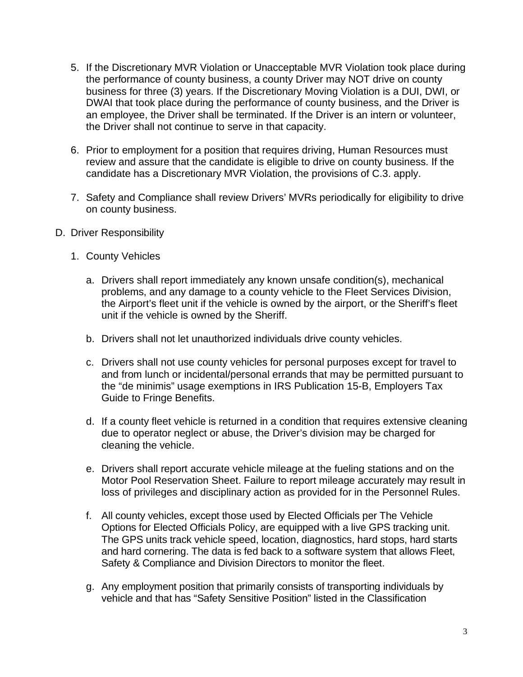- 5. If the Discretionary MVR Violation or Unacceptable MVR Violation took place during the performance of county business, a county Driver may NOT drive on county business for three (3) years. If the Discretionary Moving Violation is a DUI, DWI, or DWAI that took place during the performance of county business, and the Driver is an employee, the Driver shall be terminated. If the Driver is an intern or volunteer, the Driver shall not continue to serve in that capacity.
- 6. Prior to employment for a position that requires driving, Human Resources must review and assure that the candidate is eligible to drive on county business. If the candidate has a Discretionary MVR Violation, the provisions of C.3. apply.
- 7. Safety and Compliance shall review Drivers' MVRs periodically for eligibility to drive on county business.
- D. Driver Responsibility
	- 1. County Vehicles
		- a. Drivers shall report immediately any known unsafe condition(s), mechanical problems, and any damage to a county vehicle to the Fleet Services Division, the Airport's fleet unit if the vehicle is owned by the airport, or the Sheriff's fleet unit if the vehicle is owned by the Sheriff.
		- b. Drivers shall not let unauthorized individuals drive county vehicles.
		- c. Drivers shall not use county vehicles for personal purposes except for travel to and from lunch or incidental/personal errands that may be permitted pursuant to the "de minimis" usage exemptions in IRS Publication 15-B, Employers Tax Guide to Fringe Benefits.
		- d. If a county fleet vehicle is returned in a condition that requires extensive cleaning due to operator neglect or abuse, the Driver's division may be charged for cleaning the vehicle.
		- e. Drivers shall report accurate vehicle mileage at the fueling stations and on the Motor Pool Reservation Sheet. Failure to report mileage accurately may result in loss of privileges and disciplinary action as provided for in the Personnel Rules.
		- f. All county vehicles, except those used by Elected Officials per The Vehicle Options for Elected Officials Policy, are equipped with a live GPS tracking unit. The GPS units track vehicle speed, location, diagnostics, hard stops, hard starts and hard cornering. The data is fed back to a software system that allows Fleet, Safety & Compliance and Division Directors to monitor the fleet.
		- g. Any employment position that primarily consists of transporting individuals by vehicle and that has "Safety Sensitive Position" listed in the Classification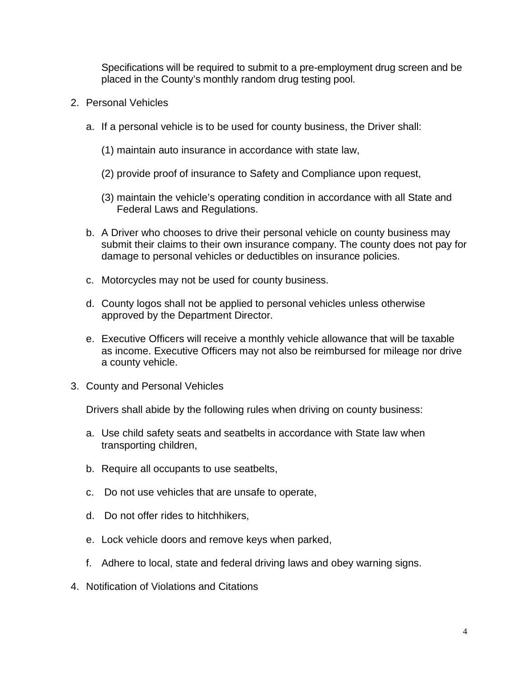Specifications will be required to submit to a pre-employment drug screen and be placed in the County's monthly random drug testing pool.

- 2. Personal Vehicles
	- a. If a personal vehicle is to be used for county business, the Driver shall:
		- (1) maintain auto insurance in accordance with state law,
		- (2) provide proof of insurance to Safety and Compliance upon request,
		- (3) maintain the vehicle's operating condition in accordance with all State and Federal Laws and Regulations.
	- b. A Driver who chooses to drive their personal vehicle on county business may submit their claims to their own insurance company. The county does not pay for damage to personal vehicles or deductibles on insurance policies.
	- c. Motorcycles may not be used for county business.
	- d. County logos shall not be applied to personal vehicles unless otherwise approved by the Department Director.
	- e. Executive Officers will receive a monthly vehicle allowance that will be taxable as income. Executive Officers may not also be reimbursed for mileage nor drive a county vehicle.
- 3. County and Personal Vehicles

Drivers shall abide by the following rules when driving on county business:

- a. Use child safety seats and seatbelts in accordance with State law when transporting children,
- b. Require all occupants to use seatbelts,
- c. Do not use vehicles that are unsafe to operate,
- d. Do not offer rides to hitchhikers,
- e. Lock vehicle doors and remove keys when parked,
- f. Adhere to local, state and federal driving laws and obey warning signs.
- 4. Notification of Violations and Citations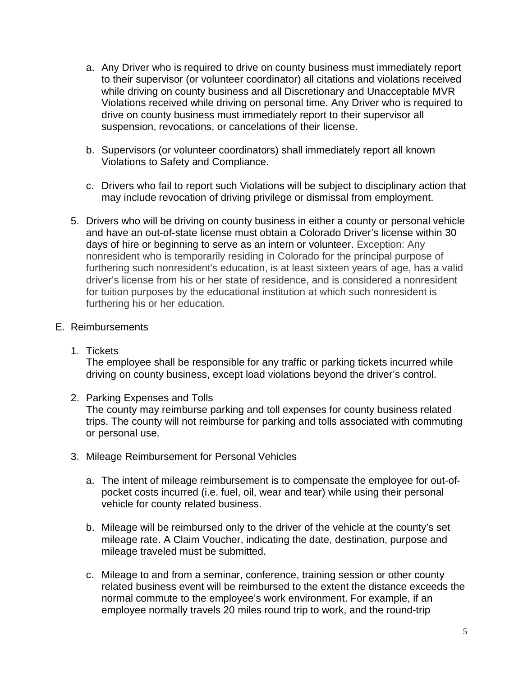- a. Any Driver who is required to drive on county business must immediately report to their supervisor (or volunteer coordinator) all citations and violations received while driving on county business and all Discretionary and Unacceptable MVR Violations received while driving on personal time. Any Driver who is required to drive on county business must immediately report to their supervisor all suspension, revocations, or cancelations of their license.
- b. Supervisors (or volunteer coordinators) shall immediately report all known Violations to Safety and Compliance.
- c. Drivers who fail to report such Violations will be subject to disciplinary action that may include revocation of driving privilege or dismissal from employment.
- 5. Drivers who will be driving on county business in either a county or personal vehicle and have an out-of-state license must obtain a Colorado Driver's license within 30 days of hire or beginning to serve as an intern or volunteer. Exception: Any nonresident who is temporarily residing in Colorado for the principal purpose of furthering such nonresident's education, is at least sixteen years of age, has a valid driver's license from his or her state of residence, and is considered a nonresident for tuition purposes by the educational institution at which such nonresident is furthering his or her education.

## E. Reimbursements

1. Tickets

The employee shall be responsible for any traffic or parking tickets incurred while driving on county business, except load violations beyond the driver's control.

2. Parking Expenses and Tolls

The county may reimburse parking and toll expenses for county business related trips. The county will not reimburse for parking and tolls associated with commuting or personal use.

- 3. Mileage Reimbursement for Personal Vehicles
	- a. The intent of mileage reimbursement is to compensate the employee for out-ofpocket costs incurred (i.e. fuel, oil, wear and tear) while using their personal vehicle for county related business.
	- b. Mileage will be reimbursed only to the driver of the vehicle at the county's set mileage rate. A Claim Voucher, indicating the date, destination, purpose and mileage traveled must be submitted.
	- c. Mileage to and from a seminar, conference, training session or other county related business event will be reimbursed to the extent the distance exceeds the normal commute to the employee's work environment. For example, if an employee normally travels 20 miles round trip to work, and the round-trip